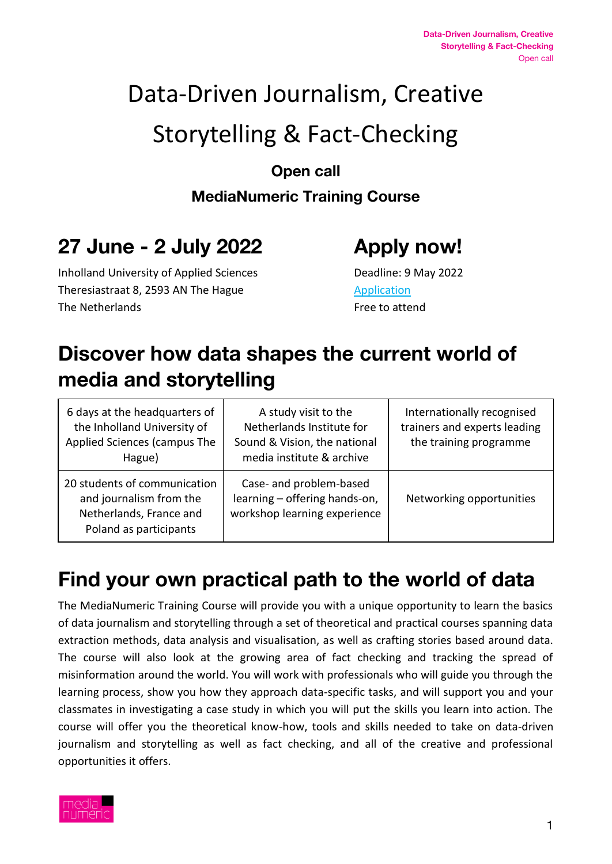# Data-Driven Journalism, Creative Storytelling & Fact-Checking

**Open call**

**MediaNumeric Training Course**

# **27 June - 2 July 2022 Apply now!**

Inholland University of Applied Sciences Deadline: 9 May 2022 Theresiastraat 8, 2593 AN The Hague [Application](https://docs.google.com/forms/d/1MgHm40wZuDWMJcibYYbF6Dc4h44fKXuoFHEr5DAa7LQ/edit) The Netherlands The Netherlands **Free** to attend

# **Discover how data shapes the current world of media and storytelling**

| 6 days at the headquarters of<br>the Inholland University of<br>Applied Sciences (campus The<br>Hague)       | A study visit to the<br>Netherlands Institute for<br>Sound & Vision, the national<br>media institute & archive | Internationally recognised<br>trainers and experts leading<br>the training programme |
|--------------------------------------------------------------------------------------------------------------|----------------------------------------------------------------------------------------------------------------|--------------------------------------------------------------------------------------|
| 20 students of communication<br>and journalism from the<br>Netherlands, France and<br>Poland as participants | Case- and problem-based<br>learning - offering hands-on,<br>workshop learning experience                       | Networking opportunities                                                             |

# **Find your own practical path to the world of data**

The MediaNumeric Training Course will provide you with a unique opportunity to learn the basics of data journalism and storytelling through a set of theoretical and practical courses spanning data extraction methods, data analysis and visualisation, as well as crafting stories based around data. The course will also look at the growing area of fact checking and tracking the spread of misinformation around the world. You will work with professionals who will guide you through the learning process, show you how they approach data-specific tasks, and will support you and your classmates in investigating a case study in which you will put the skills you learn into action. The course will offer you the theoretical know-how, tools and skills needed to take on data-driven journalism and storytelling as well as fact checking, and all of the creative and professional opportunities it offers.

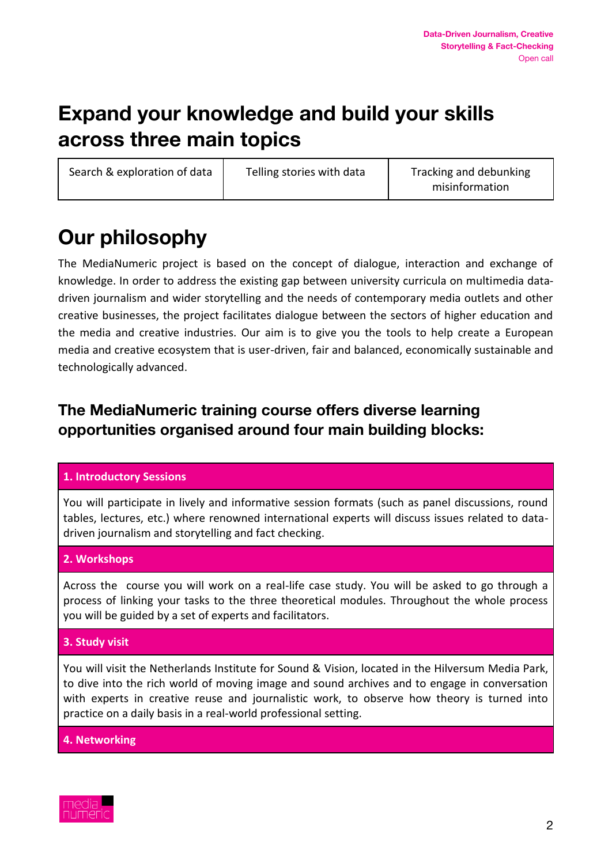# **Expand your knowledge and build your skills across three main topics**

Search & exploration of data  $\vert$  Telling stories with data  $\vert$  Tracking and debunking

misinformation

# **Our philosophy**

The MediaNumeric project is based on the concept of dialogue, interaction and exchange of knowledge. In order to address the existing gap between university curricula on multimedia datadriven journalism and wider storytelling and the needs of contemporary media outlets and other creative businesses, the project facilitates dialogue between the sectors of higher education and the media and creative industries. Our aim is to give you the tools to help create a European media and creative ecosystem that is user-driven, fair and balanced, economically sustainable and technologically advanced.

### **The MediaNumeric training course offers diverse learning opportunities organised around four main building blocks:**

#### **1. Introductory Sessions**

You will participate in lively and informative session formats (such as panel discussions, round tables, lectures, etc.) where renowned international experts will discuss issues related to datadriven journalism and storytelling and fact checking.

#### **2. Workshops**

Across the course you will work on a real-life case study. You will be asked to go through a process of linking your tasks to the three theoretical modules. Throughout the whole process you will be guided by a set of experts and facilitators.

#### **3. Study visit**

You will visit the Netherlands Institute for Sound & Vision, located in the Hilversum Media Park, to dive into the rich world of moving image and sound archives and to engage in conversation with experts in creative reuse and journalistic work, to observe how theory is turned into practice on a daily basis in a real-world professional setting.

**4. Networking**

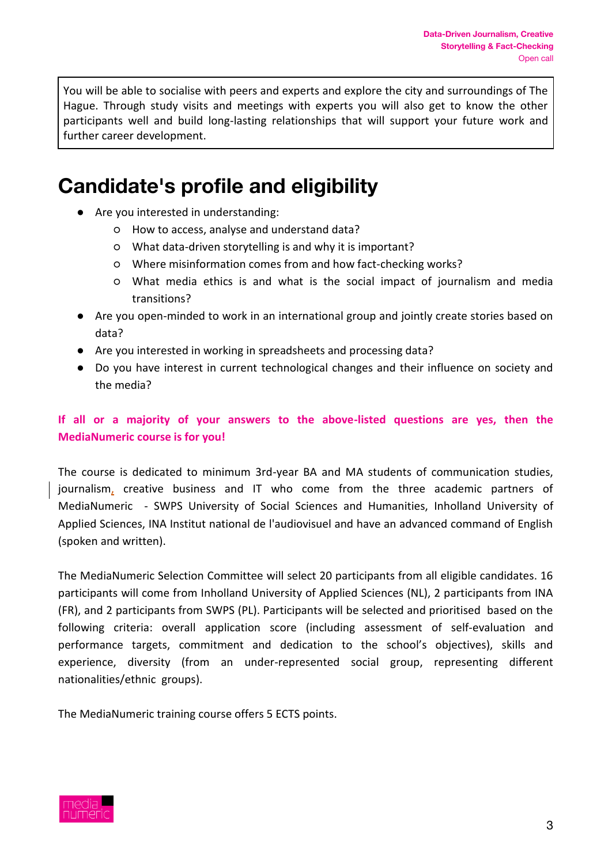You will be able to socialise with peers and experts and explore the city and surroundings of The Hague. Through study visits and meetings with experts you will also get to know the other participants well and build long-lasting relationships that will support your future work and further career development.

## **Candidate's profile and eligibility**

- Are you interested in understanding:
	- How to access, analyse and understand data?
	- What data-driven storytelling is and why it is important?
	- Where misinformation comes from and how fact-checking works?
	- What media ethics is and what is the social impact of journalism and media transitions?
- Are you open-minded to work in an international group and jointly create stories based on data?
- Are you interested in working in spreadsheets and processing data?
- Do you have interest in current technological changes and their influence on society and the media?

#### **If all or a majority of your answers to the above-listed questions are yes, then the MediaNumeric course is for you!**

The course is dedicated to minimum 3rd-year BA and MA students of communication studies, journalism, creative business and IT who come from the three academic partners of MediaNumeric - SWPS University of Social Sciences and Humanities, Inholland University of Applied Sciences, INA Institut national de l'audiovisuel and have an advanced command of English (spoken and written).

The MediaNumeric Selection Committee will select 20 participants from all eligible candidates. 16 participants will come from Inholland University of Applied Sciences (NL), 2 participants from INA (FR), and 2 participants from SWPS (PL). Participants will be selected and prioritised based on the following criteria: overall application score (including assessment of self-evaluation and performance targets, commitment and dedication to the school's objectives), skills and experience, diversity (from an under-represented social group, representing different nationalities/ethnic groups).

The MediaNumeric training course offers 5 ECTS points.

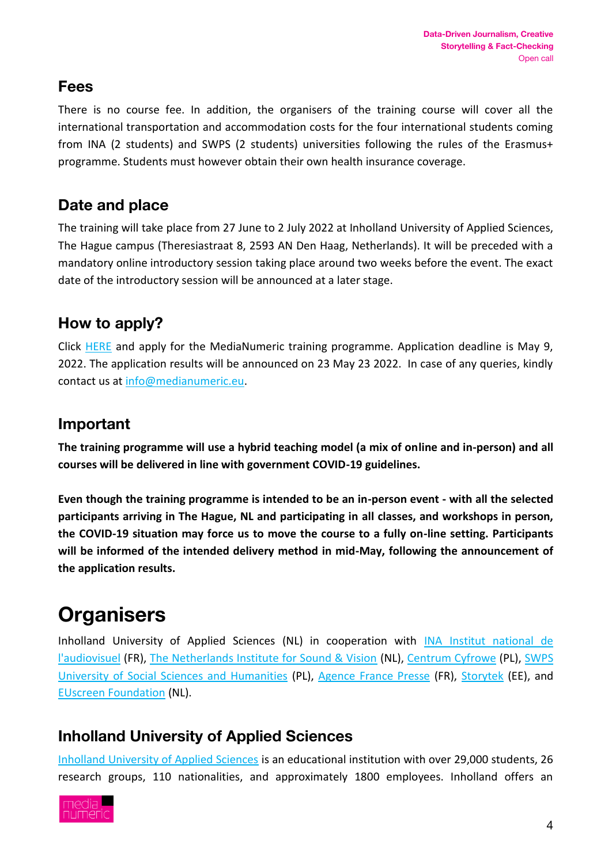#### **Fees**

There is no course fee. In addition, the organisers of the training course will cover all the international transportation and accommodation costs for the four international students coming from INA (2 students) and SWPS (2 students) universities following the rules of the Erasmus+ programme. Students must however obtain their own health insurance coverage.

## **Date and place**

The training will take place from 27 June to 2 July 2022 at Inholland University of Applied Sciences, The Hague campus (Theresiastraat 8, 2593 AN Den Haag, Netherlands). It will be preceded with a mandatory online introductory session taking place around two weeks before the event. The exact date of the introductory session will be announced at a later stage.

### **How to apply?**

Click [HERE](https://docs.google.com/forms/d/1MgHm40wZuDWMJcibYYbF6Dc4h44fKXuoFHEr5DAa7LQ/edit) and apply for the MediaNumeric training programme. Application deadline is May 9, 2022. The application results will be announced on 23 May 23 2022. In case of any queries, kindly contact us at [info@medianumeric.eu.](mailto:info@medianumeric.eu)

### **Important**

**The training programme will use a hybrid teaching model (a mix of online and in-person) and all courses will be delivered in line with government COVID-19 guidelines.** 

**Even though the training programme is intended to be an in-person event - with all the selected participants arriving in The Hague, NL and participating in all classes, and workshops in person, the COVID-19 situation may force us to move the course to a fully on-line setting. Participants will be informed of the intended delivery method in mid-May, following the announcement of the application results.**

# **Organisers**

Inholland University of Applied Sciences (NL) in cooperation with INA Institut national de [l'audiovisuel](https://www.ina.fr/institut-national-audiovisuel/international-affairs) (FR), [The Netherlands Institute for Sound & Vision](https://www.beeldengeluid.nl/en) (NL), [Centrum Cyfrowe](https://centrumcyfrowe.pl/en/homepage/) (PL), [SWPS](https://english.swps.pl/)  [University of Social Sciences and Humanities](https://english.swps.pl/) (PL), [Agence France Presse](https://www.afp.com/en) (FR), [Storytek](https://storytek.eu/) (EE), and [EUscreen Foundation](https://www.euscreen.eu/) (NL).

### **Inholland University of Applied Sciences**

[Inholland University of Applied Sciences](https://www.inholland.nl/) is an educational institution with over 29,000 students, 26 research groups, 110 nationalities, and approximately 1800 employees. Inholland offers an